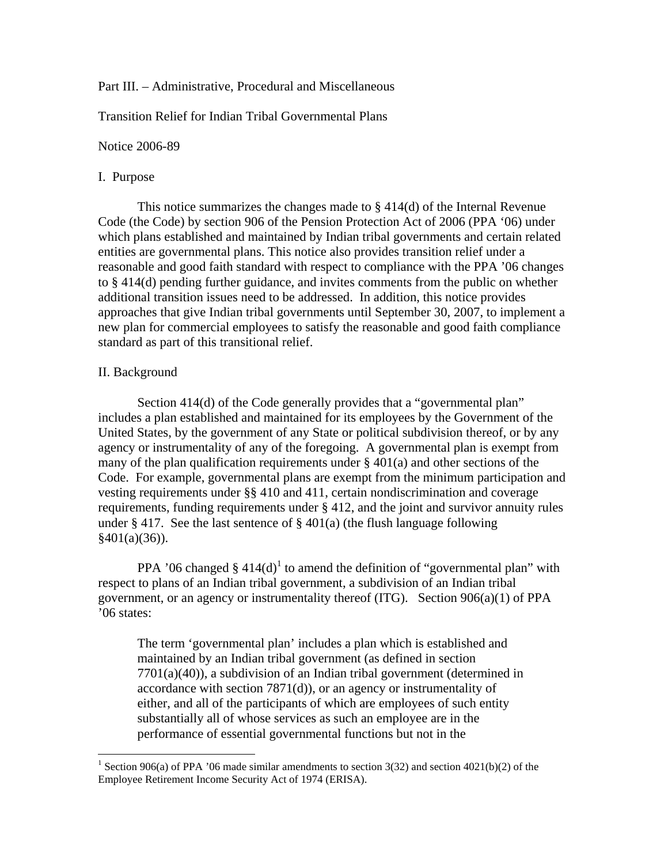# Part III. – Administrative, Procedural and Miscellaneous

Transition Relief for Indian Tribal Governmental Plans

Notice 2006-89

# I. Purpose

This notice summarizes the changes made to  $\S 414(d)$  of the Internal Revenue Code (the Code) by section 906 of the Pension Protection Act of 2006 (PPA '06) under which plans established and maintained by Indian tribal governments and certain related entities are governmental plans. This notice also provides transition relief under a reasonable and good faith standard with respect to compliance with the PPA '06 changes to § 414(d) pending further guidance, and invites comments from the public on whether additional transition issues need to be addressed. In addition, this notice provides approaches that give Indian tribal governments until September 30, 2007, to implement a new plan for commercial employees to satisfy the reasonable and good faith compliance standard as part of this transitional relief.

# II. Background

 $\overline{a}$ 

Section 414(d) of the Code generally provides that a "governmental plan" includes a plan established and maintained for its employees by the Government of the United States, by the government of any State or political subdivision thereof, or by any agency or instrumentality of any of the foregoing. A governmental plan is exempt from many of the plan qualification requirements under  $\S 401(a)$  and other sections of the Code. For example, governmental plans are exempt from the minimum participation and vesting requirements under §§ 410 and 411, certain nondiscrimination and coverage requirements, funding requirements under § 412, and the joint and survivor annuity rules under § 417. See the last sentence of § 401(a) (the flush language following  $§401(a)(36)$ .

PPA '06 changed  $\S 414(d)$ <sup>1</sup> to amend the definition of "governmental plan" with respect to plans of an Indian tribal government, a subdivision of an Indian tribal government, or an agency or instrumentality thereof (ITG). Section 906(a)(1) of PPA '06 states:

The term 'governmental plan' includes a plan which is established and maintained by an Indian tribal government (as defined in section  $7701(a)(40)$ , a subdivision of an Indian tribal government (determined in accordance with section 7871(d)), or an agency or instrumentality of either, and all of the participants of which are employees of such entity substantially all of whose services as such an employee are in the performance of essential governmental functions but not in the

<sup>&</sup>lt;sup>1</sup> Section 906(a) of PPA '06 made similar amendments to section 3(32) and section 4021(b)(2) of the Employee Retirement Income Security Act of 1974 (ERISA).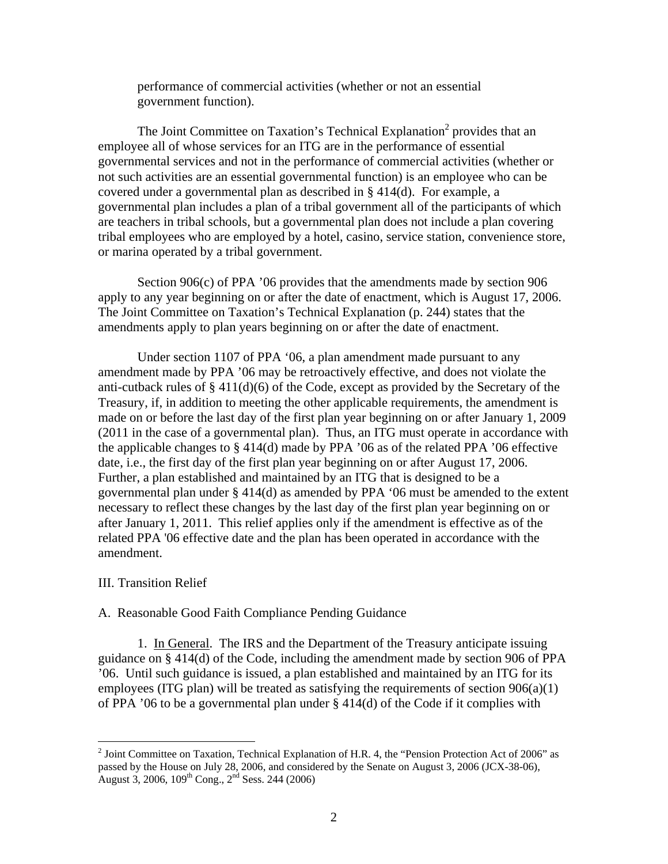performance of commercial activities (whether or not an essential government function).

The Joint Committee on Taxation's Technical Explanation<sup>2</sup> provides that an employee all of whose services for an ITG are in the performance of essential governmental services and not in the performance of commercial activities (whether or not such activities are an essential governmental function) is an employee who can be covered under a governmental plan as described in § 414(d). For example, a governmental plan includes a plan of a tribal government all of the participants of which are teachers in tribal schools, but a governmental plan does not include a plan covering tribal employees who are employed by a hotel, casino, service station, convenience store, or marina operated by a tribal government.

Section 906(c) of PPA '06 provides that the amendments made by section 906 apply to any year beginning on or after the date of enactment, which is August 17, 2006. The Joint Committee on Taxation's Technical Explanation (p. 244) states that the amendments apply to plan years beginning on or after the date of enactment.

Under section 1107 of PPA '06, a plan amendment made pursuant to any amendment made by PPA '06 may be retroactively effective, and does not violate the anti-cutback rules of § 411(d)(6) of the Code, except as provided by the Secretary of the Treasury, if, in addition to meeting the other applicable requirements, the amendment is made on or before the last day of the first plan year beginning on or after January 1, 2009 (2011 in the case of a governmental plan). Thus, an ITG must operate in accordance with the applicable changes to § 414(d) made by PPA '06 as of the related PPA '06 effective date, i.e., the first day of the first plan year beginning on or after August 17, 2006. Further, a plan established and maintained by an ITG that is designed to be a governmental plan under § 414(d) as amended by PPA '06 must be amended to the extent necessary to reflect these changes by the last day of the first plan year beginning on or after January 1, 2011. This relief applies only if the amendment is effective as of the related PPA '06 effective date and the plan has been operated in accordance with the amendment.

### III. Transition Relief

 $\overline{a}$ 

### A. Reasonable Good Faith Compliance Pending Guidance

1. In General. The IRS and the Department of the Treasury anticipate issuing guidance on § 414(d) of the Code, including the amendment made by section 906 of PPA '06. Until such guidance is issued, a plan established and maintained by an ITG for its employees (ITG plan) will be treated as satisfying the requirements of section 906(a)(1) of PPA '06 to be a governmental plan under § 414(d) of the Code if it complies with

<sup>&</sup>lt;sup>2</sup> Joint Committee on Taxation, Technical Explanation of H.R. 4, the "Pension Protection Act of 2006" as passed by the House on July 28, 2006, and considered by the Senate on August 3, 2006 (JCX-38-06), August 3, 2006,  $109^{th}$  Cong.,  $2^{nd}$  Sess. 244 (2006)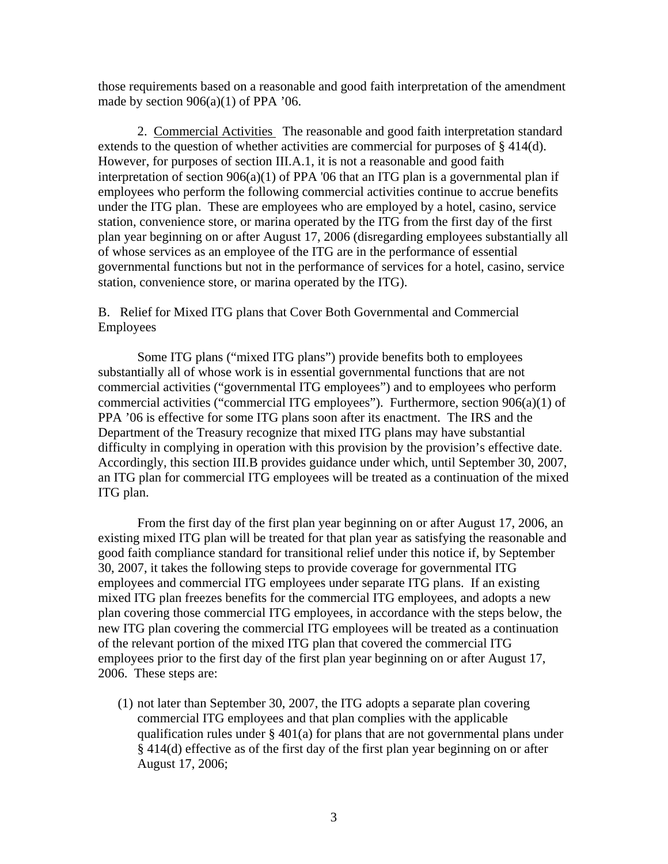those requirements based on a reasonable and good faith interpretation of the amendment made by section  $906(a)(1)$  of PPA '06.

2. Commercial Activities The reasonable and good faith interpretation standard extends to the question of whether activities are commercial for purposes of § 414(d). However, for purposes of section III.A.1, it is not a reasonable and good faith interpretation of section 906(a)(1) of PPA '06 that an ITG plan is a governmental plan if employees who perform the following commercial activities continue to accrue benefits under the ITG plan. These are employees who are employed by a hotel, casino, service station, convenience store, or marina operated by the ITG from the first day of the first plan year beginning on or after August 17, 2006 (disregarding employees substantially all of whose services as an employee of the ITG are in the performance of essential governmental functions but not in the performance of services for a hotel, casino, service station, convenience store, or marina operated by the ITG).

B. Relief for Mixed ITG plans that Cover Both Governmental and Commercial Employees

Some ITG plans ("mixed ITG plans") provide benefits both to employees substantially all of whose work is in essential governmental functions that are not commercial activities ("governmental ITG employees") and to employees who perform commercial activities ("commercial ITG employees"). Furthermore, section 906(a)(1) of PPA '06 is effective for some ITG plans soon after its enactment. The IRS and the Department of the Treasury recognize that mixed ITG plans may have substantial difficulty in complying in operation with this provision by the provision's effective date. Accordingly, this section III.B provides guidance under which, until September 30, 2007, an ITG plan for commercial ITG employees will be treated as a continuation of the mixed ITG plan.

From the first day of the first plan year beginning on or after August 17, 2006, an existing mixed ITG plan will be treated for that plan year as satisfying the reasonable and good faith compliance standard for transitional relief under this notice if, by September 30, 2007, it takes the following steps to provide coverage for governmental ITG employees and commercial ITG employees under separate ITG plans. If an existing mixed ITG plan freezes benefits for the commercial ITG employees, and adopts a new plan covering those commercial ITG employees, in accordance with the steps below, the new ITG plan covering the commercial ITG employees will be treated as a continuation of the relevant portion of the mixed ITG plan that covered the commercial ITG employees prior to the first day of the first plan year beginning on or after August 17, 2006. These steps are:

(1) not later than September 30, 2007, the ITG adopts a separate plan covering commercial ITG employees and that plan complies with the applicable qualification rules under  $\S 401(a)$  for plans that are not governmental plans under § 414(d) effective as of the first day of the first plan year beginning on or after August 17, 2006;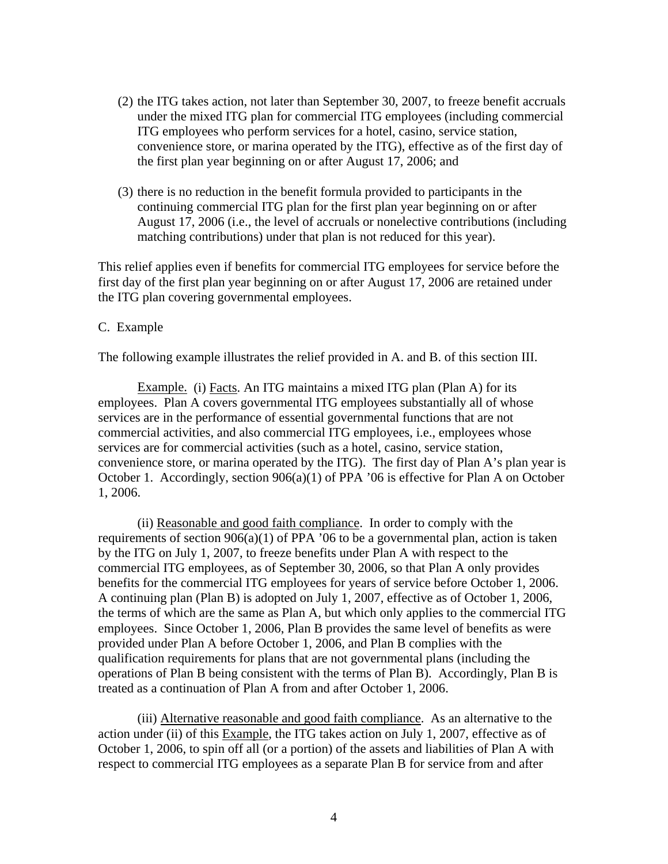- (2) the ITG takes action, not later than September 30, 2007, to freeze benefit accruals under the mixed ITG plan for commercial ITG employees (including commercial ITG employees who perform services for a hotel, casino, service station, convenience store, or marina operated by the ITG), effective as of the first day of the first plan year beginning on or after August 17, 2006; and
- (3) there is no reduction in the benefit formula provided to participants in the continuing commercial ITG plan for the first plan year beginning on or after August 17, 2006 (i.e., the level of accruals or nonelective contributions (including matching contributions) under that plan is not reduced for this year).

This relief applies even if benefits for commercial ITG employees for service before the first day of the first plan year beginning on or after August 17, 2006 are retained under the ITG plan covering governmental employees.

# C. Example

The following example illustrates the relief provided in A. and B. of this section III.

Example. (i) Facts. An ITG maintains a mixed ITG plan (Plan A) for its employees. Plan A covers governmental ITG employees substantially all of whose services are in the performance of essential governmental functions that are not commercial activities, and also commercial ITG employees, i.e., employees whose services are for commercial activities (such as a hotel, casino, service station, convenience store, or marina operated by the ITG). The first day of Plan A's plan year is October 1. Accordingly, section 906(a)(1) of PPA '06 is effective for Plan A on October 1, 2006.

(ii) Reasonable and good faith compliance. In order to comply with the requirements of section  $906(a)(1)$  of PPA '06 to be a governmental plan, action is taken by the ITG on July 1, 2007, to freeze benefits under Plan A with respect to the commercial ITG employees, as of September 30, 2006, so that Plan A only provides benefits for the commercial ITG employees for years of service before October 1, 2006. A continuing plan (Plan B) is adopted on July 1, 2007, effective as of October 1, 2006, the terms of which are the same as Plan A, but which only applies to the commercial ITG employees. Since October 1, 2006, Plan B provides the same level of benefits as were provided under Plan A before October 1, 2006, and Plan B complies with the qualification requirements for plans that are not governmental plans (including the operations of Plan B being consistent with the terms of Plan B). Accordingly, Plan B is treated as a continuation of Plan A from and after October 1, 2006.

(iii) Alternative reasonable and good faith compliance. As an alternative to the action under (ii) of this Example, the ITG takes action on July 1, 2007, effective as of October 1, 2006, to spin off all (or a portion) of the assets and liabilities of Plan A with respect to commercial ITG employees as a separate Plan B for service from and after